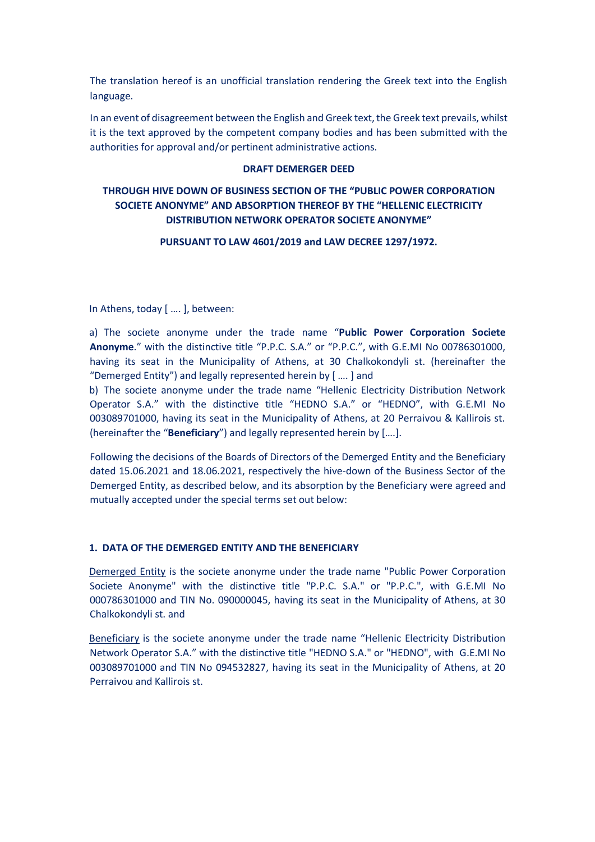The translation hereof is an unofficial translation rendering the Greek text into the English language.

In an event of disagreement between the English and Greek text, the Greek text prevails, whilst it is the text approved by the competent company bodies and has been submitted with the authorities for approval and/or pertinent administrative actions.

## **DRAFT DEMERGER DEED**

# **THROUGH HIVE DOWN OF BUSINESS SECTION OF THE "PUBLIC POWER CORPORATION SOCIETE ANONYME" AND ABSORPTION THEREOF BY THE "HELLENIC ELECTRICITY DISTRIBUTION NETWORK OPERATOR SOCIETE ANONYME"**

### **PURSUANT TO LAW 4601/2019 and LAW DECREE 1297/1972.**

In Athens, today [ …. ], between:

a) The societe anonyme under the trade name "**Public Power Corporation Societe Anonyme**." with the distinctive title "P.P.C. S.A." or "P.P.C.", with G.E.MI No 00786301000, having its seat in the Municipality of Athens, at 30 Chalkokondyli st. (hereinafter the "Demerged Entity") and legally represented herein by [ …. ] and

b) The societe anonyme under the trade name "Hellenic Electricity Distribution Network Operator S.A." with the distinctive title "HEDNO S.A." or "HEDNO", with G.E.MI No 003089701000, having its seat in the Municipality of Athens, at 20 Perraivou & Kallirois st. (hereinafter the "**Beneficiary**") and legally represented herein by [….].

Following the decisions of the Boards of Directors of the Demerged Entity and the Beneficiary dated 15.06.2021 and 18.06.2021, respectively the hive-down of the Business Sector of the Demerged Entity, as described below, and its absorption by the Beneficiary were agreed and mutually accepted under the special terms set out below:

## **1. DATA OF THE DEMERGED ENTITY AND THE BENEFICIARY**

Demerged Entity is the societe anonyme under the trade name "Public Power Corporation Societe Anonyme" with the distinctive title "P.P.C. S.A." or "P.P.C.", with G.E.MI No 000786301000 and TIN No. 090000045, having its seat in the Municipality of Athens, at 30 Chalkokondyli st. and

Beneficiary is the societe anonyme under the trade name "Hellenic Electricity Distribution Network Operator S.A." with the distinctive title "HEDNO S.A." or "HEDNO", with G.E.MI No 003089701000 and TIN No 094532827, having its seat in the Municipality of Athens, at 20 Perraivou and Kallirois st.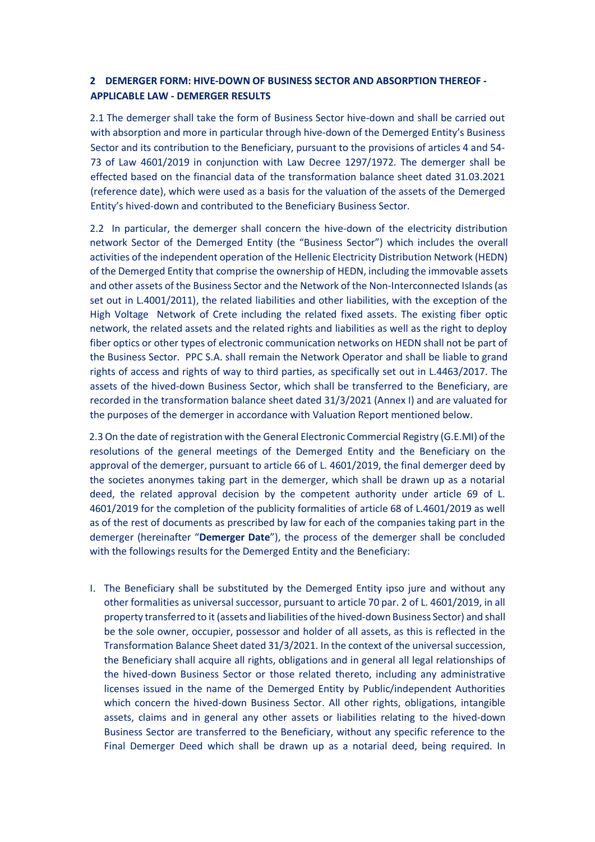# **2 DEMERGER FORM: HIVE-DOWN OF BUSINESS SECTOR AND ABSORPTION THEREOF - APPLICABLE LAW - DEMERGER RESULTS**

2.1 The demerger shall take the form of Business Sector hive-down and shall be carried out with absorption and more in particular through hive-down of the Demerged Entity's Business Sector and its contribution to the Beneficiary, pursuant to the provisions of articles 4 and 54- 73 of Law 4601/2019 in conjunction with Law Decree 1297/1972. The demerger shall be effected based on the financial data of the transformation balance sheet dated 31.03.2021 (reference date), which were used as a basis for the valuation of the assets of the Demerged Entity's hived-down and contributed to the Beneficiary Business Sector.

2.2 In particular, the demerger shall concern the hive-down of the electricity distribution network Sector of the Demerged Entity (the "Business Sector") which includes the overall activities of the independent operation of the Hellenic Electricity Distribution Network (HEDN) of the Demerged Entity that comprise the ownership of HEDN, including the immovable assets and other assets of the Business Sector and the Network of the Non-Interconnected Islands (as set out in L.4001/2011), the related liabilities and other liabilities, with the exception of the High Voltage Network of Crete including the related fixed assets. The existing fiber optic network, the related assets and the related rights and liabilities as well as the right to deploy fiber optics or other types of electronic communication networks on HEDN shall not be part of the Business Sector. PPC S.A. shall remain the Network Operator and shall be liable to grand rights of access and rights of way to third parties, as specifically set out in L.4463/2017. The assets of the hived-down Business Sector, which shall be transferred to the Beneficiary, are recorded in the transformation balance sheet dated 31/3/2021 (Annex I) and are valuated for the purposes of the demerger in accordance with Valuation Report mentioned below.

2.3 On the date of registration with the General Electronic Commercial Registry (G.E.MI) of the resolutions of the general meetings of the Demerged Entity and the Beneficiary on the approval of the demerger, pursuant to article 66 of L. 4601/2019, the final demerger deed by the societes anonymes taking part in the demerger, which shall be drawn up as a notarial deed, the related approval decision by the competent authority under article 69 of L. 4601/2019 for the completion of the publicity formalities of article 68 of L.4601/2019 as well as of the rest of documents as prescribed by law for each of the companies taking part in the demerger (hereinafter "**Demerger Date**"), the process of the demerger shall be concluded with the followings results for the Demerged Entity and the Beneficiary:

I. The Beneficiary shall be substituted by the Demerged Entity ipso jure and without any other formalities as universal successor, pursuant to article 70 par. 2 of L. 4601/2019, in all property transferred to it (assets and liabilities of the hived-down Business Sector) and shall be the sole owner, occupier, possessor and holder of all assets, as this is reflected in the Transformation Balance Sheet dated 31/3/2021. In the context of the universal succession, the Beneficiary shall acquire all rights, obligations and in general all legal relationships of the hived-down Business Sector or those related thereto, including any administrative licenses issued in the name of the Demerged Entity by Public/independent Authorities which concern the hived-down Business Sector. All other rights, obligations, intangible assets, claims and in general any other assets or liabilities relating to the hived-down Business Sector are transferred to the Beneficiary, without any specific reference to the Final Demerger Deed which shall be drawn up as a notarial deed, being required. In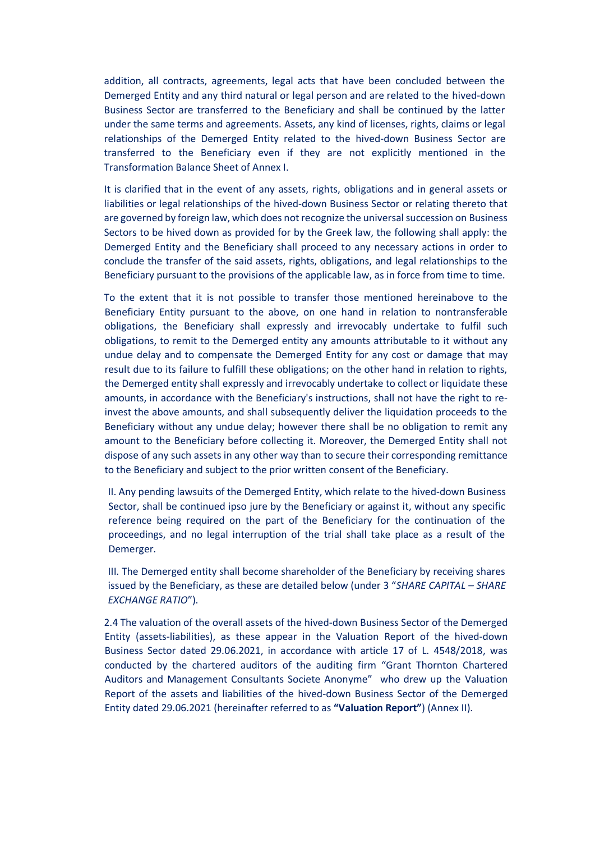addition, all contracts, agreements, legal acts that have been concluded between the Demerged Entity and any third natural or legal person and are related to the hived-down Business Sector are transferred to the Beneficiary and shall be continued by the latter under the same terms and agreements. Assets, any kind of licenses, rights, claims or legal relationships of the Demerged Entity related to the hived-down Business Sector are transferred to the Beneficiary even if they are not explicitly mentioned in the Transformation Balance Sheet of Annex I.

It is clarified that in the event of any assets, rights, obligations and in general assets or liabilities or legal relationships of the hived-down Business Sector or relating thereto that are governed by foreign law, which does not recognize the universal succession on Business Sectors to be hived down as provided for by the Greek law, the following shall apply: the Demerged Entity and the Beneficiary shall proceed to any necessary actions in order to conclude the transfer of the said assets, rights, obligations, and legal relationships to the Beneficiary pursuant to the provisions of the applicable law, as in force from time to time.

To the extent that it is not possible to transfer those mentioned hereinabove to the Beneficiary Entity pursuant to the above, on one hand in relation to nontransferable obligations, the Beneficiary shall expressly and irrevocably undertake to fulfil such obligations, to remit to the Demerged entity any amounts attributable to it without any undue delay and to compensate the Demerged Entity for any cost or damage that may result due to its failure to fulfill these obligations; on the other hand in relation to rights, the Demerged entity shall expressly and irrevocably undertake to collect or liquidate these amounts, in accordance with the Beneficiary's instructions, shall not have the right to reinvest the above amounts, and shall subsequently deliver the liquidation proceeds to the Beneficiary without any undue delay; however there shall be no obligation to remit any amount to the Beneficiary before collecting it. Moreover, the Demerged Entity shall not dispose of any such assets in any other way than to secure their corresponding remittance to the Beneficiary and subject to the prior written consent of the Beneficiary.

II. Any pending lawsuits of the Demerged Entity, which relate to the hived-down Business Sector, shall be continued ipso jure by the Beneficiary or against it, without any specific reference being required on the part of the Beneficiary for the continuation of the proceedings, and no legal interruption of the trial shall take place as a result of the Demerger.

III. The Demerged entity shall become shareholder of the Beneficiary by receiving shares issued by the Beneficiary, as these are detailed below (under 3 "*SHARE CAPITAL – SHARE EXCHANGE RATIO*").

2.4 The valuation of the overall assets of the hived-down Business Sector of the Demerged Entity (assets-liabilities), as these appear in the Valuation Report of the hived-down Business Sector dated 29.06.2021, in accordance with article 17 of L. 4548/2018, was conducted by the chartered auditors of the auditing firm "Grant Thornton Chartered Auditors and Management Consultants Societe Anonyme" who drew up the Valuation Report of the assets and liabilities of the hived-down Business Sector of the Demerged Entity dated 29.06.2021 (hereinafter referred to as **"Valuation Report"**) (Annex II).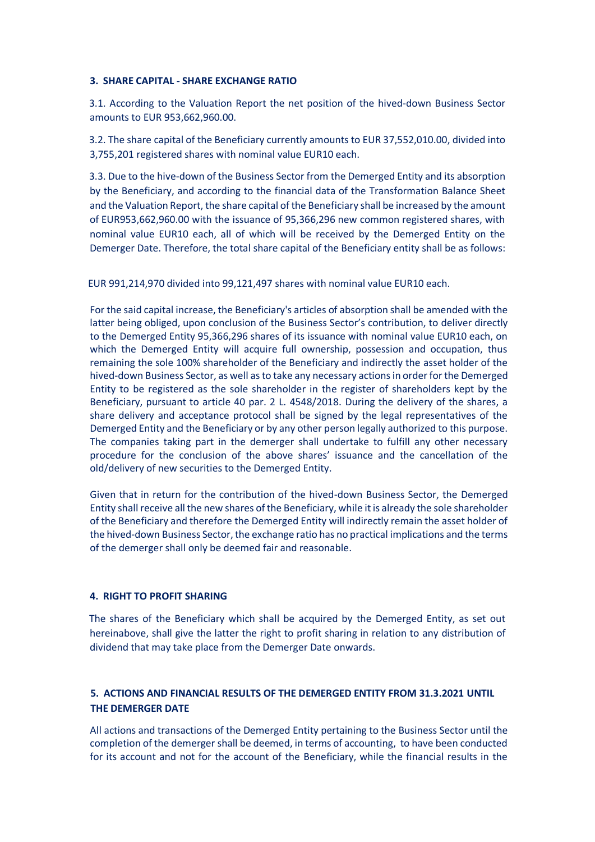### **3. SHARE CAPITAL - SHARE EXCHANGE RATIO**

3.1. According to the Valuation Report the net position of the hived-down Business Sector amounts to EUR 953,662,960.00.

3.2. The share capital of the Beneficiary currently amounts to EUR 37,552,010.00, divided into 3,755,201 registered shares with nominal value EUR10 each.

3.3. Due to the hive-down of the Business Sector from the Demerged Entity and its absorption by the Beneficiary, and according to the financial data of the Transformation Balance Sheet and the Valuation Report, the share capital of the Beneficiary shall be increased by the amount of EUR953,662,960.00 with the issuance of 95,366,296 new common registered shares, with nominal value EUR10 each, all of which will be received by the Demerged Entity on the Demerger Date. Therefore, the total share capital of the Beneficiary entity shall be as follows:

EUR 991,214,970 divided into 99,121,497 shares with nominal value EUR10 each.

For the said capital increase, the Beneficiary's articles of absorption shall be amended with the latter being obliged, upon conclusion of the Business Sector's contribution, to deliver directly to the Demerged Entity 95,366,296 shares of its issuance with nominal value EUR10 each, on which the Demerged Entity will acquire full ownership, possession and occupation, thus remaining the sole 100% shareholder of the Beneficiary and indirectly the asset holder of the hived-down Business Sector, as well as to take any necessary actionsin order for the Demerged Entity to be registered as the sole shareholder in the register of shareholders kept by the Beneficiary, pursuant to article 40 par. 2 L. 4548/2018. During the delivery of the shares, a share delivery and acceptance protocol shall be signed by the legal representatives of the Demerged Entity and the Beneficiary or by any other person legally authorized to this purpose. The companies taking part in the demerger shall undertake to fulfill any other necessary procedure for the conclusion of the above shares' issuance and the cancellation of the old/delivery of new securities to the Demerged Entity.

Given that in return for the contribution of the hived-down Business Sector, the Demerged Entity shall receive all the new shares of the Beneficiary, while it is already the sole shareholder of the Beneficiary and therefore the Demerged Entity will indirectly remain the asset holder of the hived-down Business Sector, the exchange ratio has no practical implications and the terms of the demerger shall only be deemed fair and reasonable.

### **4. RIGHT TO PROFIT SHARING**

The shares of the Beneficiary which shall be acquired by the Demerged Entity, as set out hereinabove, shall give the latter the right to profit sharing in relation to any distribution of dividend that may take place from the Demerger Date onwards.

# **5. ACTIONS AND FINANCIAL RESULTS OF THE DEMERGED ENTITY FROM 31.3.2021 UNTIL THE DEMERGER DATE**

All actions and transactions of the Demerged Entity pertaining to the Business Sector until the completion of the demerger shall be deemed, in terms of accounting, to have been conducted for its account and not for the account of the Beneficiary, while the financial results in the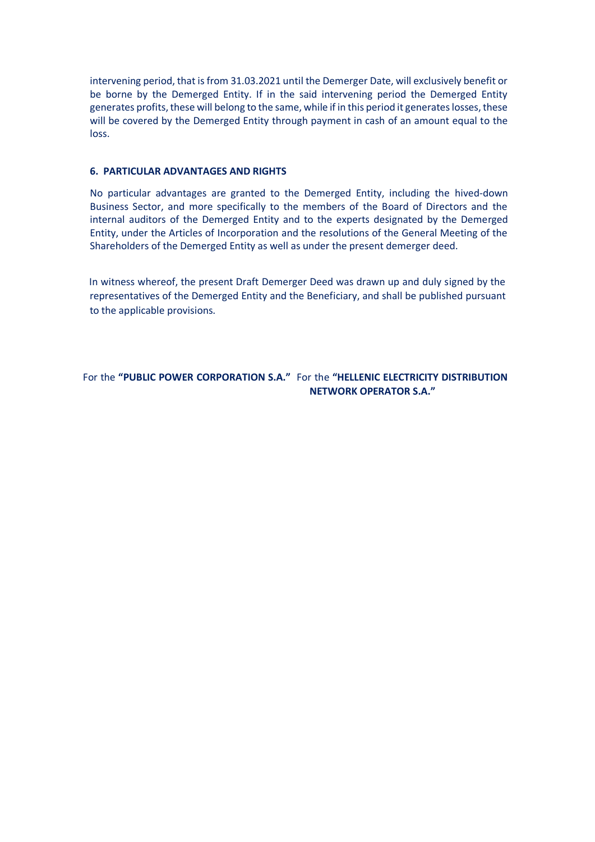intervening period, that is from 31.03.2021 until the Demerger Date, will exclusively benefit or be borne by the Demerged Entity. If in the said intervening period the Demerged Entity generates profits, these will belong to the same, while if in this period it generates losses, these will be covered by the Demerged Entity through payment in cash of an amount equal to the loss.

## **6. PARTICULAR ADVANTAGES AND RIGHTS**

No particular advantages are granted to the Demerged Entity, including the hived-down Business Sector, and more specifically to the members of the Board of Directors and the internal auditors of the Demerged Entity and to the experts designated by the Demerged Entity, under the Articles of Incorporation and the resolutions of the General Meeting of the Shareholders of the Demerged Entity as well as under the present demerger deed.

In witness whereof, the present Draft Demerger Deed was drawn up and duly signed by the representatives of the Demerged Entity and the Beneficiary, and shall be published pursuant to the applicable provisions.

For the **"PUBLIC POWER CORPORATION S.A."** For the **"HELLENIC ELECTRICITY DISTRIBUTION NETWORK OPERATOR S.A."**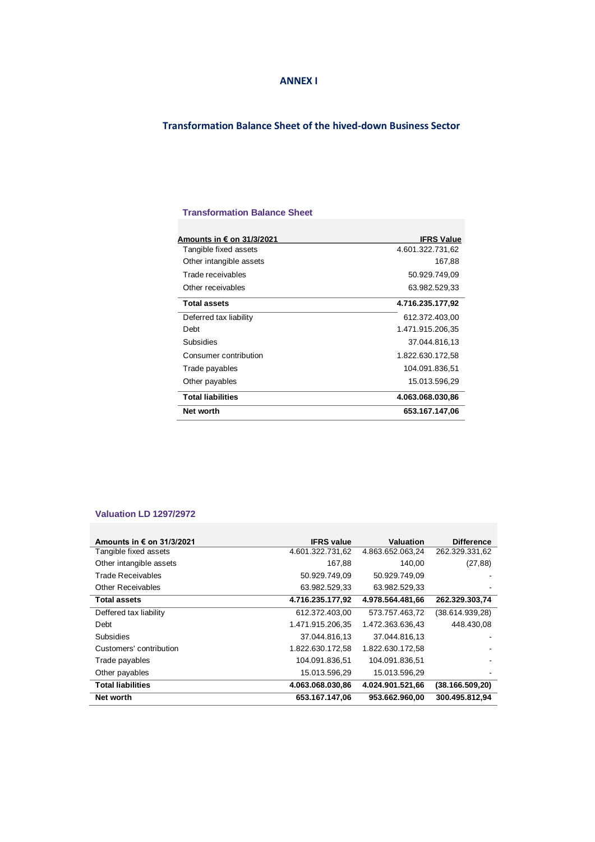#### **ANNEX I**

## **Transformation Balance Sheet of the hived-down Business Sector**

### **Transformation Balance Sheet**

| Amounts in € on 31/3/2021 | <b>IFRS Value</b> |  |  |
|---------------------------|-------------------|--|--|
| Tangible fixed assets     | 4.601.322.731,62  |  |  |
| Other intangible assets   | 167,88            |  |  |
| Trade receivables         | 50.929.749.09     |  |  |
| Other receivables         | 63.982.529,33     |  |  |
| <b>Total assets</b>       | 4.716.235.177,92  |  |  |
| Deferred tax liability    | 612.372.403,00    |  |  |
| Debt                      | 1.471.915.206,35  |  |  |
| Subsidies                 | 37.044.816,13     |  |  |
| Consumer contribution     | 1.822.630.172,58  |  |  |
| Trade payables            | 104.091.836,51    |  |  |
| Other payables            | 15.013.596,29     |  |  |
| <b>Total liabilities</b>  | 4.063.068.030,86  |  |  |
| Net worth                 | 653.167.147,06    |  |  |

#### **Valuation LD 1297/2972**

| Amounts in € on 31/3/2021 | <b>IFRS</b> value | Valuation        | <b>Difference</b> |
|---------------------------|-------------------|------------------|-------------------|
| Tangible fixed assets     | 4.601.322.731,62  | 4.863.652.063.24 | 262.329.331,62    |
| Other intangible assets   | 167,88            | 140,00           | (27, 88)          |
| Trade Receivables         | 50.929.749,09     | 50.929.749.09    |                   |
| <b>Other Receivables</b>  | 63.982.529,33     | 63.982.529,33    |                   |
| <b>Total assets</b>       | 4.716.235.177,92  | 4.978.564.481.66 | 262.329.303,74    |
| Deffered tax liability    | 612.372.403.00    | 573.757.463,72   | (38.614.939,28)   |
| Debt                      | 1.471.915.206.35  | 1.472.363.636.43 | 448.430.08        |
| <b>Subsidies</b>          | 37.044.816.13     | 37.044.816.13    |                   |
| Customers' contribution   | 1.822.630.172,58  | 1.822.630.172.58 |                   |
| Trade payables            | 104.091.836.51    | 104.091.836.51   |                   |
| Other payables            | 15.013.596,29     | 15.013.596,29    |                   |
| <b>Total liabilities</b>  | 4.063.068.030.86  | 4.024.901.521.66 | (38.166.509, 20)  |
| Net worth                 | 653.167.147.06    | 953.662.960,00   | 300.495.812,94    |